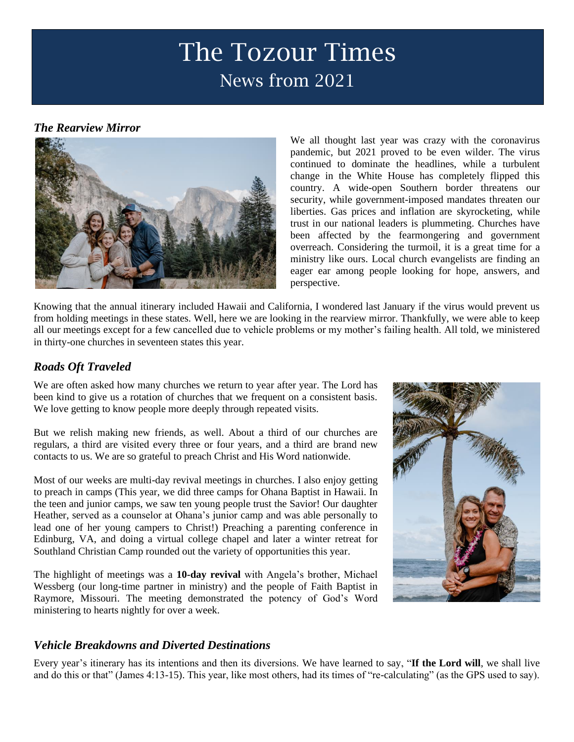# The Tozour Times News from 2021

## *The Rearview Mirror*



We all thought last year was crazy with the coronavirus pandemic, but 2021 proved to be even wilder. The virus continued to dominate the headlines, while a turbulent change in the White House has completely flipped this country. A wide-open Southern border threatens our security, while government-imposed mandates threaten our liberties. Gas prices and inflation are skyrocketing, while trust in our national leaders is plummeting. Churches have been affected by the fearmongering and government overreach. Considering the turmoil, it is a great time for a ministry like ours. Local church evangelists are finding an eager ear among people looking for hope, answers, and perspective.

Knowing that the annual itinerary included Hawaii and California, I wondered last January if the virus would prevent us from holding meetings in these states. Well, here we are looking in the rearview mirror. Thankfully, we were able to keep all our meetings except for a few cancelled due to vehicle problems or my mother's failing health. All told, we ministered in thirty-one churches in seventeen states this year.

## *Roads Oft Traveled*

We are often asked how many churches we return to year after year. The Lord has been kind to give us a rotation of churches that we frequent on a consistent basis. We love getting to know people more deeply through repeated visits.

But we relish making new friends, as well. About a third of our churches are regulars, a third are visited every three or four years, and a third are brand new contacts to us. We are so grateful to preach Christ and His Word nationwide.

Most of our weeks are multi-day revival meetings in churches. I also enjoy getting to preach in camps (This year, we did three camps for Ohana Baptist in Hawaii. In the teen and junior camps, we saw ten young people trust the Savior! Our daughter Heather, served as a counselor at Ohana's junior camp and was able personally to lead one of her young campers to Christ!) Preaching a parenting conference in Edinburg, VA, and doing a virtual college chapel and later a winter retreat for Southland Christian Camp rounded out the variety of opportunities this year.

The highlight of meetings was a **10-day revival** with Angela's brother, Michael Wessberg (our long-time partner in ministry) and the people of Faith Baptist in Raymore, Missouri. The meeting demonstrated the potency of God's Word ministering to hearts nightly for over a week.



### *Vehicle Breakdowns and Diverted Destinations*

Every year's itinerary has its intentions and then its diversions. We have learned to say, "**If the Lord will**, we shall live and do this or that" (James 4:13-15). This year, like most others, had its times of "re-calculating" (as the GPS used to say).